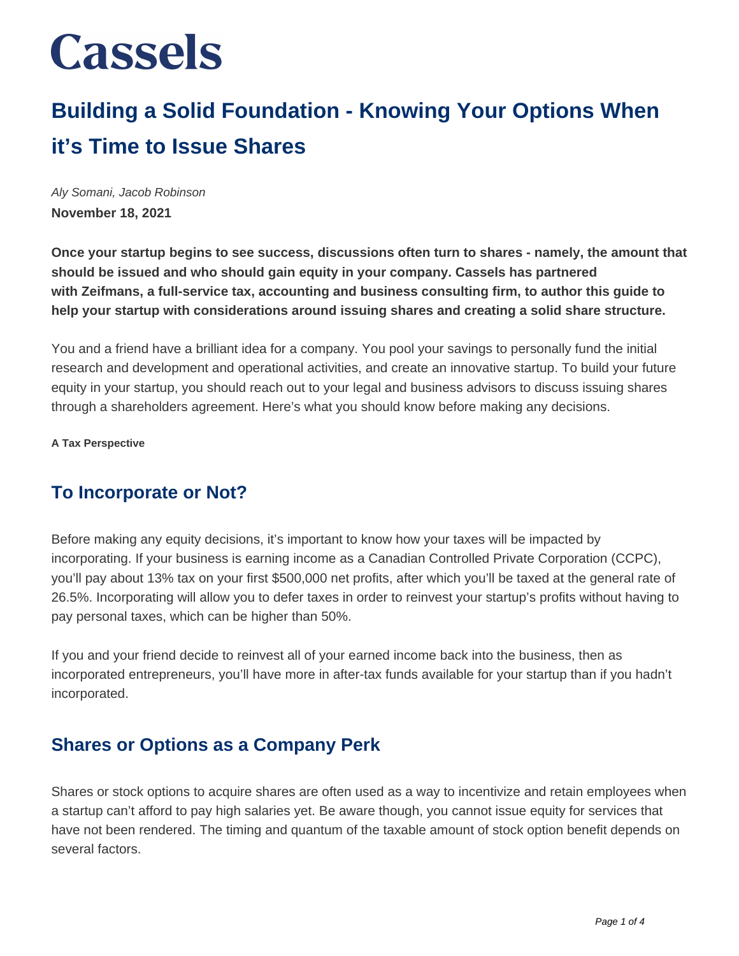### **Building a Solid Foundation - Knowing Your Options When it's Time to Issue Shares**

Aly Somani, Jacob Robinson **November 18, 2021**

**Once your startup begins to see success, discussions often turn to shares - namely, the amount that should be issued and who should gain equity in your company. Cassels has partnered with Zeifmans, a full-service tax, accounting and business consulting firm, to author this guide to help your startup with considerations around issuing shares and creating a solid share structure.**

You and a friend have a brilliant idea for a company. You pool your savings to personally fund the initial research and development and operational activities, and create an innovative startup. To build your future equity in your startup, you should reach out to your legal and business advisors to discuss issuing shares through a shareholders agreement. Here's what you should know before making any decisions.

**A Tax Perspective**

### **To Incorporate or Not?**

Before making any equity decisions, it's important to know how your taxes will be impacted by incorporating. If your business is earning income as a Canadian Controlled Private Corporation (CCPC), you'll pay about 13% tax on your first \$500,000 net profits, after which you'll be taxed at the general rate of 26.5%. Incorporating will allow you to defer taxes in order to reinvest your startup's profits without having to pay personal taxes, which can be higher than 50%.

If you and your friend decide to reinvest all of your earned income back into the business, then as incorporated entrepreneurs, you'll have more in after-tax funds available for your startup than if you hadn't incorporated.

#### **Shares or Options as a Company Perk**

Shares or stock options to acquire shares are often used as a way to incentivize and retain employees when a startup can't afford to pay high salaries yet. Be aware though, you cannot issue equity for services that have not been rendered. The timing and quantum of the taxable amount of stock option benefit depends on several factors.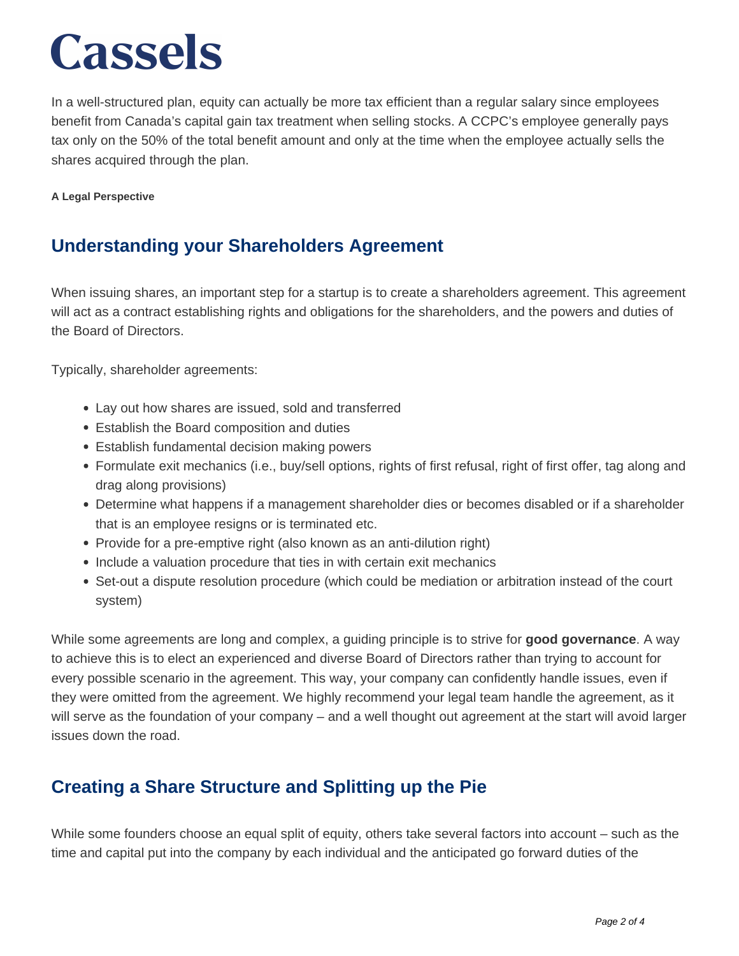In a well-structured plan, equity can actually be more tax efficient than a regular salary since employees benefit from Canada's capital gain tax treatment when selling stocks. A CCPC's employee generally pays tax only on the 50% of the total benefit amount and only at the time when the employee actually sells the shares acquired through the plan.

#### **A Legal Perspective**

#### **Understanding your Shareholders Agreement**

When issuing shares, an important step for a startup is to create a shareholders agreement. This agreement will act as a contract establishing rights and obligations for the shareholders, and the powers and duties of the Board of Directors.

Typically, shareholder agreements:

- Lay out how shares are issued, sold and transferred
- Establish the Board composition and duties
- Establish fundamental decision making powers
- Formulate exit mechanics (i.e., buy/sell options, rights of first refusal, right of first offer, tag along and drag along provisions)
- Determine what happens if a management shareholder dies or becomes disabled or if a shareholder that is an employee resigns or is terminated etc.
- Provide for a pre-emptive right (also known as an anti-dilution right)
- Include a valuation procedure that ties in with certain exit mechanics
- Set-out a dispute resolution procedure (which could be mediation or arbitration instead of the court system)

While some agreements are long and complex, a guiding principle is to strive for **good governance**. A way to achieve this is to elect an experienced and diverse Board of Directors rather than trying to account for every possible scenario in the agreement. This way, your company can confidently handle issues, even if they were omitted from the agreement. We highly recommend your legal team handle the agreement, as it will serve as the foundation of your company – and a well thought out agreement at the start will avoid larger issues down the road.

#### **Creating a Share Structure and Splitting up the Pie**

While some founders choose an equal split of equity, others take several factors into account – such as the time and capital put into the company by each individual and the anticipated go forward duties of the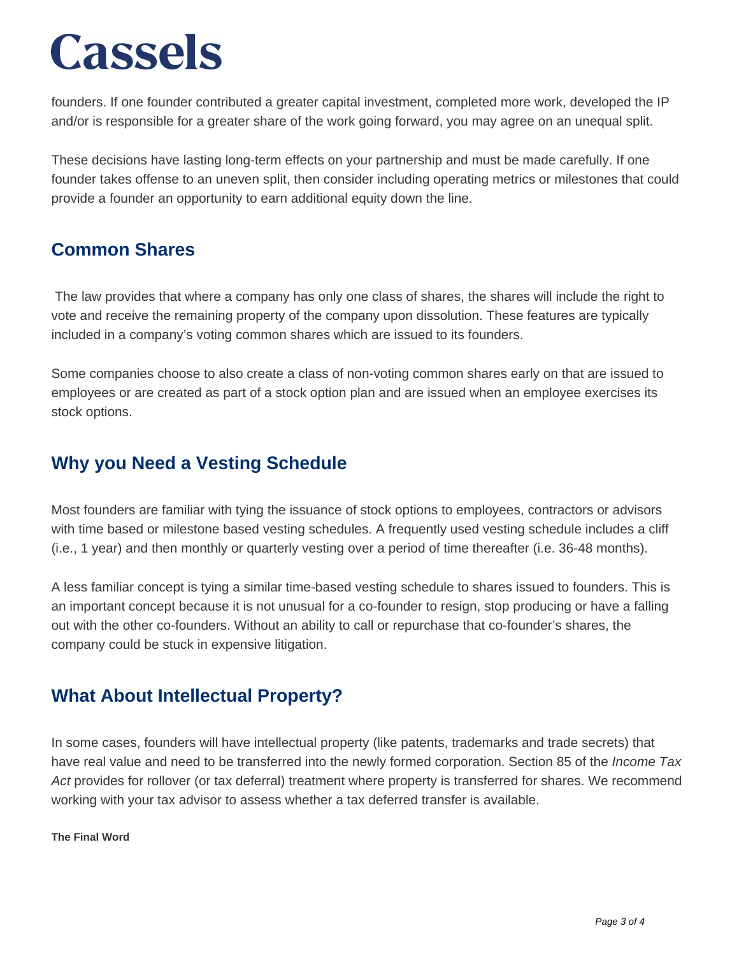founders. If one founder contributed a greater capital investment, completed more work, developed the IP and/or is responsible for a greater share of the work going forward, you may agree on an unequal split.

These decisions have lasting long-term effects on your partnership and must be made carefully. If one founder takes offense to an uneven split, then consider including operating metrics or milestones that could provide a founder an opportunity to earn additional equity down the line.

#### **Common Shares**

The law provides that where a company has only one class of shares, the shares will include the right to vote and receive the remaining property of the company upon dissolution. These features are typically included in a company's voting common shares which are issued to its founders.

Some companies choose to also create a class of non-voting common shares early on that are issued to employees or are created as part of a stock option plan and are issued when an employee exercises its stock options.

### **Why you Need a Vesting Schedule**

Most founders are familiar with tying the issuance of stock options to employees, contractors or advisors with time based or milestone based vesting schedules. A frequently used vesting schedule includes a cliff (i.e., 1 year) and then monthly or quarterly vesting over a period of time thereafter (i.e. 36-48 months).

A less familiar concept is tying a similar time-based vesting schedule to shares issued to founders. This is an important concept because it is not unusual for a co-founder to resign, stop producing or have a falling out with the other co-founders. Without an ability to call or repurchase that co-founder's shares, the company could be stuck in expensive litigation.

### **What About Intellectual Property?**

In some cases, founders will have intellectual property (like patents, trademarks and trade secrets) that have real value and need to be transferred into the newly formed corporation. Section 85 of the *Income Tax* Act provides for rollover (or tax deferral) treatment where property is transferred for shares. We recommend working with your tax advisor to assess whether a tax deferred transfer is available.

#### **The Final Word**